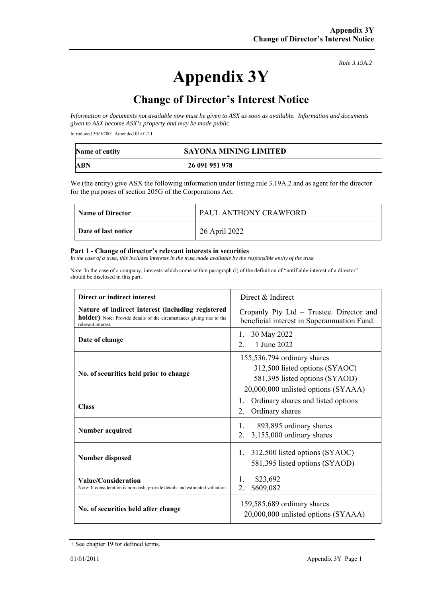**Appendix 3Y** 

*Rule 3.19A.2*

## **Change of Director's Interest Notice**

*Information or documents not available now must be given to ASX as soon as available. Information and documents given to ASX become ASX's property and may be made public.* 

Introduced 30/9/2001 Amended 01/01/11.

| Name of entity | <b>SAYONA MINING LIMITED</b> |
|----------------|------------------------------|
| ABN            | 26 091 951 978               |

We (the entity) give ASX the following information under listing rule 3.19A.2 and as agent for the director for the purposes of section 205G of the Corporations Act.

| <b>Name of Director</b> | PAUL ANTHONY CRAWFORD |
|-------------------------|-----------------------|
| Date of last notice     | 26 April 2022         |

## **Part 1 - Change of director's relevant interests in securities**

In the case of a trust, this includes interests in the trust made available by the responsible entity of the trust

Note: In the case of a company, interests which come within paragraph (i) of the definition of "notifiable interest of a director" should be disclosed in this part.

| Direct or indirect interest                                                                                                                      | Direct $&$ Indirect                                                                                                                    |  |
|--------------------------------------------------------------------------------------------------------------------------------------------------|----------------------------------------------------------------------------------------------------------------------------------------|--|
| Nature of indirect interest (including registered<br>holder) Note: Provide details of the circumstances giving rise to the<br>relevant interest. | Cropanly Pty Ltd - Trustee. Director and<br>beneficial interest in Superannuation Fund.                                                |  |
| Date of change                                                                                                                                   | 30 May 2022<br>1.<br>1 June 2022<br>2 <sub>1</sub>                                                                                     |  |
| No. of securities held prior to change                                                                                                           | 155,536,794 ordinary shares<br>312,500 listed options (SYAOC)<br>581,395 listed options (SYAOD)<br>20,000,000 unlisted options (SYAAA) |  |
| <b>Class</b>                                                                                                                                     | Ordinary shares and listed options<br>1.<br>Ordinary shares<br>2.                                                                      |  |
| Number acquired                                                                                                                                  | 1.<br>893,895 ordinary shares<br>3,155,000 ordinary shares<br>2.                                                                       |  |
| <b>Number disposed</b>                                                                                                                           | 312,500 listed options (SYAOC)<br>1.<br>581,395 listed options (SYAOD)                                                                 |  |
| Value/Consideration<br>Note: If consideration is non-cash, provide details and estimated valuation                                               | 1.<br>\$23,692<br>\$609,082<br>2.                                                                                                      |  |
| No. of securities held after change                                                                                                              | 159,585,689 ordinary shares<br>20,000,000 unlisted options (SYAAA)                                                                     |  |

<sup>+</sup> See chapter 19 for defined terms.